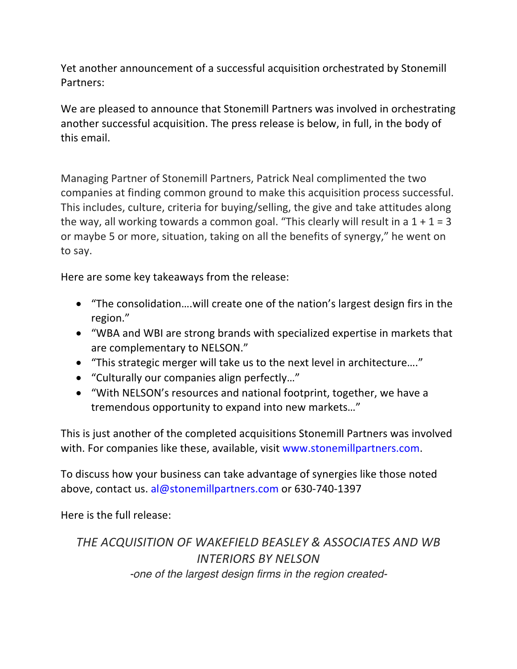Yet another announcement of a successful acquisition orchestrated by Stonemill Partners: 

We are pleased to announce that Stonemill Partners was involved in orchestrating another successful acquisition. The press release is below, in full, in the body of this email.

Managing Partner of Stonemill Partners, Patrick Neal complimented the two companies at finding common ground to make this acquisition process successful. This includes, culture, criteria for buying/selling, the give and take attitudes along the way, all working towards a common goal. "This clearly will result in a  $1 + 1 = 3$ or maybe 5 or more, situation, taking on all the benefits of synergy," he went on to say.

Here are some key takeaways from the release:

- "The consolidation....will create one of the nation's largest design firs in the region."
- "WBA and WBI are strong brands with specialized expertise in markets that are complementary to NELSON."
- "This strategic merger will take us to the next level in architecture...."
- "Culturally our companies align perfectly..."
- "With NELSON's resources and national footprint, together, we have a tremendous opportunity to expand into new markets..."

This is just another of the completed acquisitions Stonemill Partners was involved with. For companies like these, available, visit www.stonemillpartners.com.

To discuss how your business can take advantage of synergies like those noted above, contact us. al@stonemillpartners.com or 630-740-1397

Here is the full release:

*THE ACQUISITION OF WAKEFIELD BEASLEY & ASSOCIATES AND WB INTERIORS BY NELSON -one of the largest design firms in the region created-*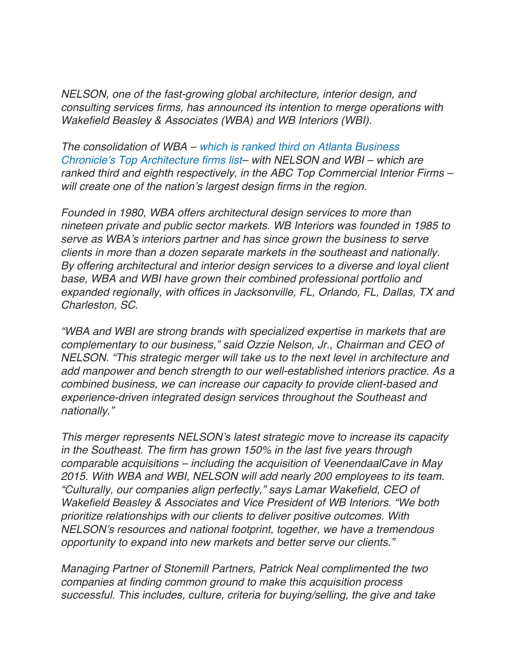*NELSON, one of the fast-growing global architecture, interior design, and consulting services firms, has announced its intention to merge operations with Wakefield Beasley & Associates (WBA) and WB Interiors (WBI).*

*The consolidation of WBA – which is ranked third on Atlanta Business Chronicle's Top Architecture firms list– with NELSON and WBI – which are ranked third and eighth respectively, in the ABC Top Commercial Interior Firms – will create one of the nation's largest design firms in the region.*

*Founded in 1980, WBA offers architectural design services to more than nineteen private and public sector markets. WB Interiors was founded in 1985 to serve as WBA's interiors partner and has since grown the business to serve clients in more than a dozen separate markets in the southeast and nationally. By offering architectural and interior design services to a diverse and loyal client base, WBA and WBI have grown their combined professional portfolio and expanded regionally, with offices in Jacksonville, FL, Orlando, FL, Dallas, TX and Charleston, SC.*

*"WBA and WBI are strong brands with specialized expertise in markets that are complementary to our business," said Ozzie Nelson, Jr., Chairman and CEO of NELSON. "This strategic merger will take us to the next level in architecture and add manpower and bench strength to our well-established interiors practice. As a combined business, we can increase our capacity to provide client-based and experience-driven integrated design services throughout the Southeast and nationally."*

*This merger represents NELSON's latest strategic move to increase its capacity in the Southeast. The firm has grown 150% in the last five years through comparable acquisitions – including the acquisition of VeenendaalCave in May 2015. With WBA and WBI, NELSON will add nearly 200 employees to its team. "Culturally, our companies align perfectly," says Lamar Wakefield, CEO of Wakefield Beasley & Associates and Vice President of WB Interiors. "We both prioritize relationships with our clients to deliver positive outcomes. With NELSON's resources and national footprint, together, we have a tremendous opportunity to expand into new markets and better serve our clients."*

*Managing Partner of Stonemill Partners, Patrick Neal complimented the two companies at finding common ground to make this acquisition process successful. This includes, culture, criteria for buying/selling, the give and take*